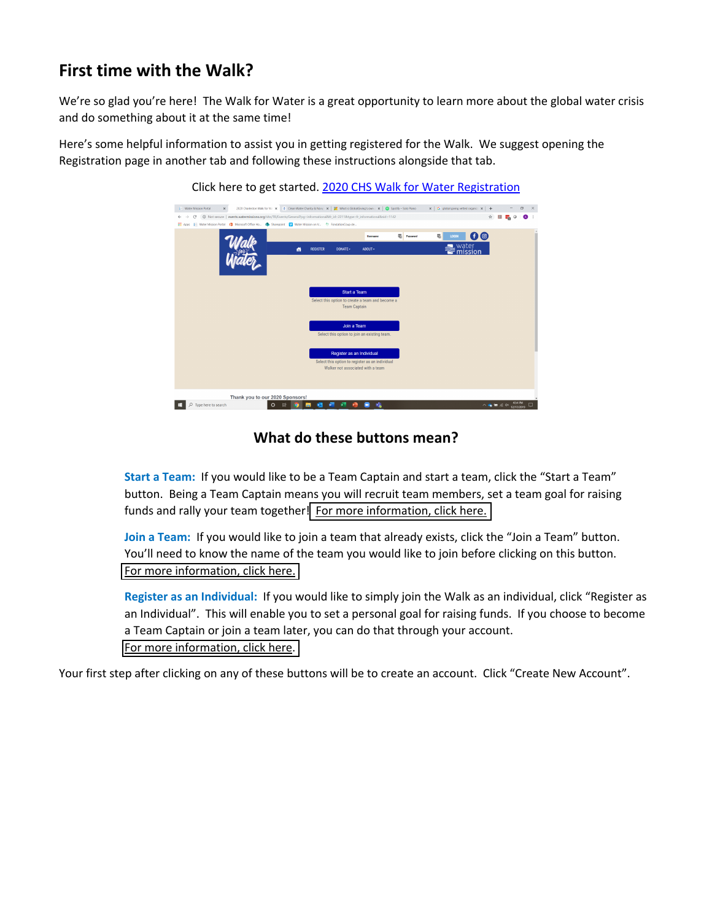# **First time with the Walk?**

We're so glad you're here! The Walk for Water is a great opportunity to learn more about the global water crisis and do something about it at the same time!

Here's some helpful information to assist you in getting registered for the Walk. We suggest opening the Registration page in another tab and following these instructions alongside that tab.

| <b>I Water Mission Portal</b><br>$\times$                                                                                                                                                                                                                                                     | 2020 Charleston Walk for Wi X 3 Clean Water Charity & Nonp. X 32 What is GlobalGiving's own   X   Spotify - Solo Piano |   |                 |                                                 |                                              |               |                   | $x \mid G$ clobal giving vetted organiz $x \mid +$ |                                           | $\Box$     | $\times$ |
|-----------------------------------------------------------------------------------------------------------------------------------------------------------------------------------------------------------------------------------------------------------------------------------------------|------------------------------------------------------------------------------------------------------------------------|---|-----------------|-------------------------------------------------|----------------------------------------------|---------------|-------------------|----------------------------------------------------|-------------------------------------------|------------|----------|
|                                                                                                                                                                                                                                                                                               |                                                                                                                        |   |                 |                                                 |                                              |               |                   |                                                    |                                           |            |          |
| @ Not secure   events.watermissions.org/site/TR/Events/General?pg=informational&fr_id=2211&type=fr_informational&sid=1142<br>$\leftarrow$<br>$\rightarrow$<br>С<br>ŵ<br>[1] Apps   Water Mission Portal   1 Microsoft Office Ho.,   Sharepoint   Viater Mission on V.,   6 FondationCoup de., |                                                                                                                        |   |                 |                                                 |                                              |               |                   |                                                    |                                           |            |          |
|                                                                                                                                                                                                                                                                                               |                                                                                                                        |   |                 |                                                 |                                              |               |                   |                                                    |                                           |            |          |
|                                                                                                                                                                                                                                                                                               |                                                                                                                        |   |                 |                                                 | <b>Username</b>                              | 局<br>Password | 喝<br><b>LOGIN</b> | $\mathbf{G}$ $\odot$                               |                                           |            |          |
|                                                                                                                                                                                                                                                                                               |                                                                                                                        | 曲 | <b>REGISTER</b> | DONATE-                                         | ABOUT-                                       |               |                   |                                                    |                                           |            |          |
|                                                                                                                                                                                                                                                                                               |                                                                                                                        |   |                 |                                                 |                                              |               |                   | sion                                               |                                           |            |          |
|                                                                                                                                                                                                                                                                                               |                                                                                                                        |   |                 |                                                 |                                              |               |                   |                                                    |                                           |            |          |
|                                                                                                                                                                                                                                                                                               |                                                                                                                        |   |                 |                                                 |                                              |               |                   |                                                    |                                           |            |          |
|                                                                                                                                                                                                                                                                                               |                                                                                                                        |   |                 |                                                 |                                              |               |                   |                                                    |                                           |            |          |
|                                                                                                                                                                                                                                                                                               |                                                                                                                        |   |                 |                                                 |                                              |               |                   |                                                    |                                           |            |          |
| Start a Team                                                                                                                                                                                                                                                                                  |                                                                                                                        |   |                 |                                                 |                                              |               |                   |                                                    |                                           |            |          |
| Select this option to create a team and become a<br><b>Team Captain</b>                                                                                                                                                                                                                       |                                                                                                                        |   |                 |                                                 |                                              |               |                   |                                                    |                                           |            |          |
|                                                                                                                                                                                                                                                                                               |                                                                                                                        |   |                 |                                                 |                                              |               |                   |                                                    |                                           |            |          |
|                                                                                                                                                                                                                                                                                               |                                                                                                                        |   |                 |                                                 |                                              |               |                   |                                                    |                                           |            |          |
|                                                                                                                                                                                                                                                                                               |                                                                                                                        |   | Join a Team     |                                                 |                                              |               |                   |                                                    |                                           |            |          |
|                                                                                                                                                                                                                                                                                               |                                                                                                                        |   |                 |                                                 | Select this option to join an existing team. |               |                   |                                                    |                                           |            |          |
|                                                                                                                                                                                                                                                                                               |                                                                                                                        |   |                 |                                                 |                                              |               |                   |                                                    |                                           |            |          |
|                                                                                                                                                                                                                                                                                               |                                                                                                                        |   |                 | Register as an Individual                       |                                              |               |                   |                                                    |                                           |            |          |
|                                                                                                                                                                                                                                                                                               |                                                                                                                        |   |                 | Select this option to register as an individual |                                              |               |                   |                                                    |                                           |            |          |
|                                                                                                                                                                                                                                                                                               |                                                                                                                        |   |                 | Walker not associated with a team               |                                              |               |                   |                                                    |                                           |            |          |
|                                                                                                                                                                                                                                                                                               |                                                                                                                        |   |                 |                                                 |                                              |               |                   |                                                    |                                           |            |          |
|                                                                                                                                                                                                                                                                                               |                                                                                                                        |   |                 |                                                 |                                              |               |                   |                                                    |                                           |            |          |
|                                                                                                                                                                                                                                                                                               |                                                                                                                        |   |                 |                                                 |                                              |               |                   |                                                    |                                           |            |          |
|                                                                                                                                                                                                                                                                                               | Thank you to our 2020 Sponsors!                                                                                        |   |                 |                                                 |                                              |               |                   |                                                    |                                           | 454 PM     |          |
| $O$ Type here to search<br>œ                                                                                                                                                                                                                                                                  | $\circ$                                                                                                                | Þ |                 |                                                 | 喘                                            |               |                   |                                                    | $\wedge$ $\bullet$ $\bullet$ $\&$ $\circ$ | 12/17/2019 |          |

### Click here to get started. 2020 CHS Walk for Water Registration

### **What do these buttons mean?**

**Start a Team:** If you would like to be a Team Captain and start a team, click the "Start a Team" button. Being a Team Captain means you will recruit team members, set a team goal for raising funds and rally your team together! [For more information, click here.](#page-1-0) 

**Join a Team:** If you would like to join a team that already exists, click the "Join a Team" button. You'll need to know the name of the team you would like to join before clicking on this button. [For more information, click here.](#page-3-0) 

**Register as an Individual:** If you would like to simply join the Walk as an individual, click "Register as an Individual". This will enable you to set a personal goal for raising funds. If you choose to become a Team Captain or join a team later, you can do that through your account. [For more information, click here.](#page-5-0) 

Your first step after clicking on any of these buttons will be to create an account. Click "Create New Account".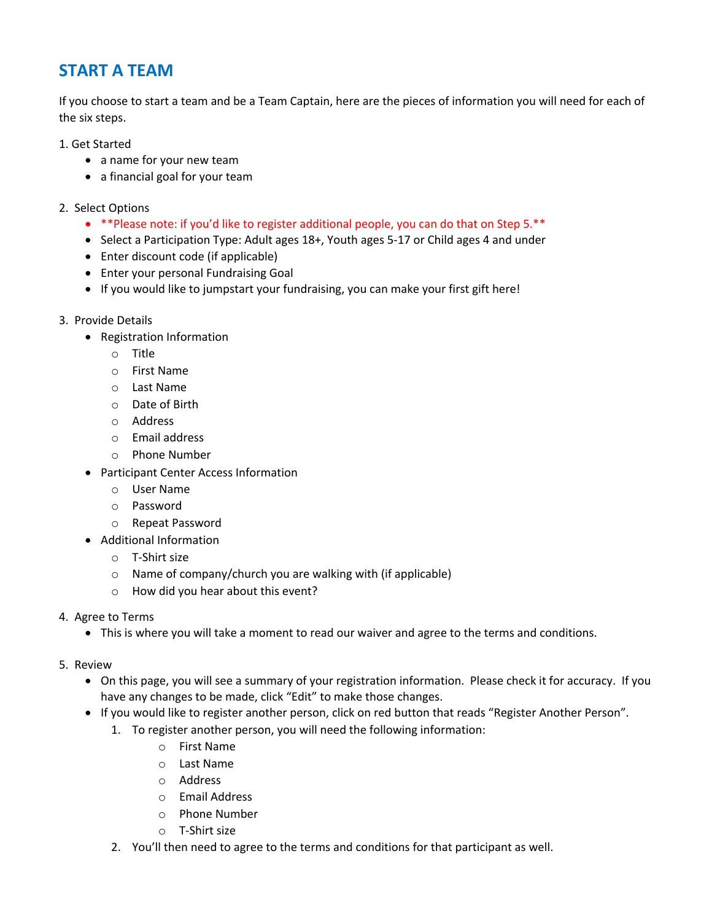# <span id="page-1-0"></span>**START A TEAM**

If you choose to start a team and be a Team Captain, here are the pieces of information you will need for each of the six steps.

### 1. Get Started

- a name for your new team
- a financial goal for your team
- 2. Select Options
	- \*\* Please note: if you'd like to register additional people, you can do that on Step 5.\*\*
	- Select a Participation Type: Adult ages 18+, Youth ages 5-17 or Child ages 4 and under
	- Enter discount code (if applicable)
	- Enter your personal Fundraising Goal
	- If you would like to jumpstart your fundraising, you can make your first gift here!
- 3. Provide Details
	- Registration Information
		- o Title
		- o First Name
		- o Last Name
		- o Date of Birth
		- o Address
		- o Email address
		- o Phone Number
	- Participant Center Access Information
		- o User Name
		- o Password
		- o Repeat Password
	- Additional Information
		- o T-Shirt size
		- o Name of company/church you are walking with (if applicable)
		- o How did you hear about this event?
- 4. Agree to Terms
	- This is where you will take a moment to read our waiver and agree to the terms and conditions.
- 5. Review
	- On this page, you will see a summary of your registration information. Please check it for accuracy. If you have any changes to be made, click "Edit" to make those changes.
	- If you would like to register another person, click on red button that reads "Register Another Person".
		- 1. To register another person, you will need the following information:
			- o First Name
			- o Last Name
			- o Address
			- o Email Address
			- o Phone Number
			- o T-Shirt size
		- 2. You'll then need to agree to the terms and conditions for that participant as well.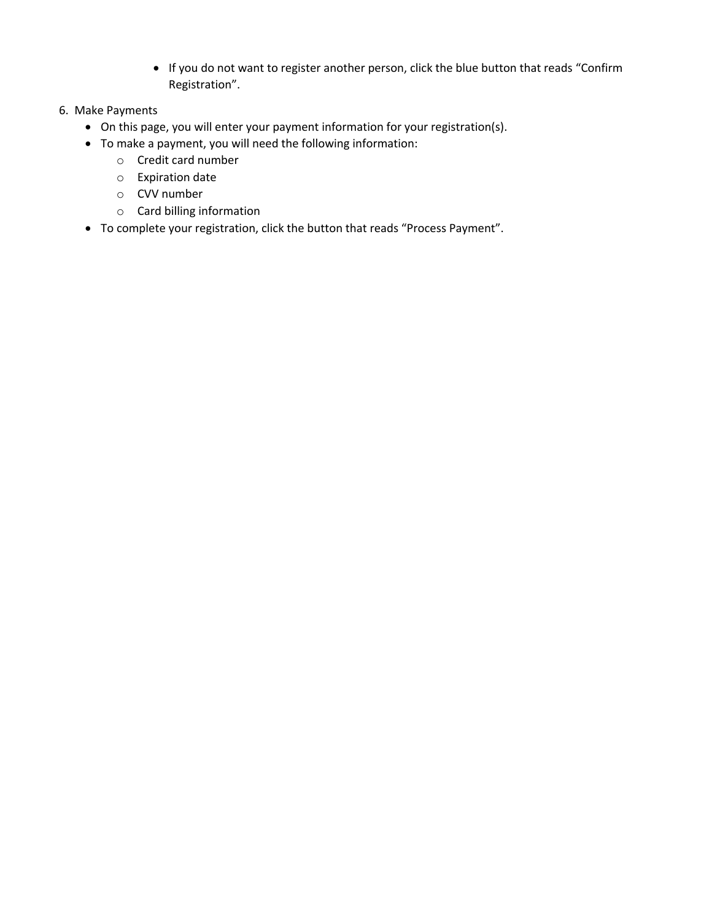- If you do not want to register another person, click the blue button that reads "Confirm Registration".
- 6. Make Payments
	- On this page, you will enter your payment information for your registration(s).
	- To make a payment, you will need the following information:
		- o Credit card number
		- o Expiration date
		- o CVV number
		- o Card billing information
	- To complete your registration, click the button that reads "Process Payment".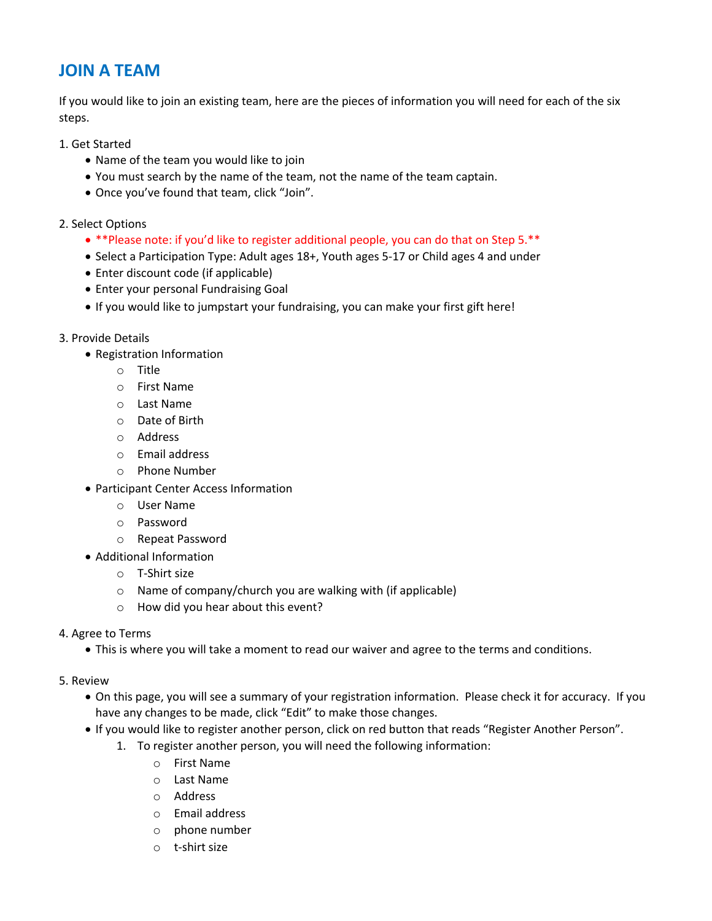# <span id="page-3-0"></span>**JOIN A TEAM**

If you would like to join an existing team, here are the pieces of information you will need for each of the six steps.

- 1. Get Started
	- Name of the team you would like to join
	- You must search by the name of the team, not the name of the team captain.
	- Once you've found that team, click "Join".
- 2. Select Options
	- \*\* Please note: if you'd like to register additional people, you can do that on Step 5.\*\*
	- Select a Participation Type: Adult ages 18+, Youth ages 5-17 or Child ages 4 and under
	- Enter discount code (if applicable)
	- Enter your personal Fundraising Goal
	- If you would like to jumpstart your fundraising, you can make your first gift here!
- 3. Provide Details
	- Registration Information
		- o Title
		- o First Name
		- o Last Name
		- o Date of Birth
		- o Address
		- o Email address
		- o Phone Number
	- Participant Center Access Information
		- o User Name
		- o Password
		- o Repeat Password
	- Additional Information
		- o T-Shirt size
		- o Name of company/church you are walking with (if applicable)
		- o How did you hear about this event?
- 4. Agree to Terms
	- This is where you will take a moment to read our waiver and agree to the terms and conditions.
- 5. Review
	- On this page, you will see a summary of your registration information. Please check it for accuracy. If you have any changes to be made, click "Edit" to make those changes.
	- If you would like to register another person, click on red button that reads "Register Another Person".
		- 1. To register another person, you will need the following information:
			- o First Name
			- o Last Name
			- o Address
			- o Email address
			- o phone number
			- o t-shirt size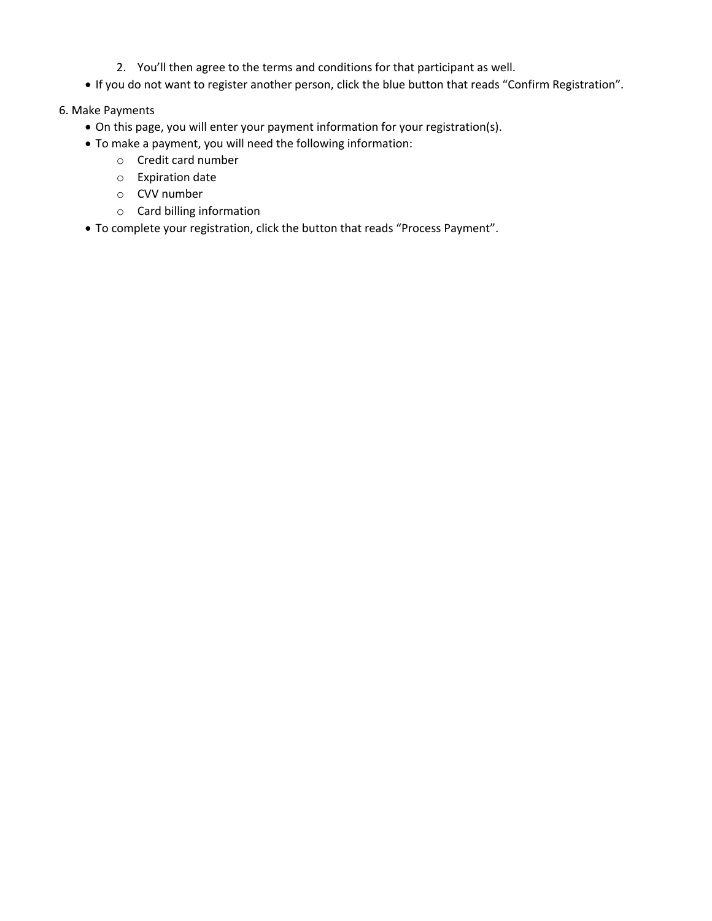- 2. You'll then agree to the terms and conditions for that participant as well.
- If you do not want to register another person, click the blue button that reads "Confirm Registration".
- 6. Make Payments
	- On this page, you will enter your payment information for your registration(s).
	- To make a payment, you will need the following information:
		- o Credit card number
		- o Expiration date
		- o CVV number
		- o Card billing information
	- To complete your registration, click the button that reads "Process Payment".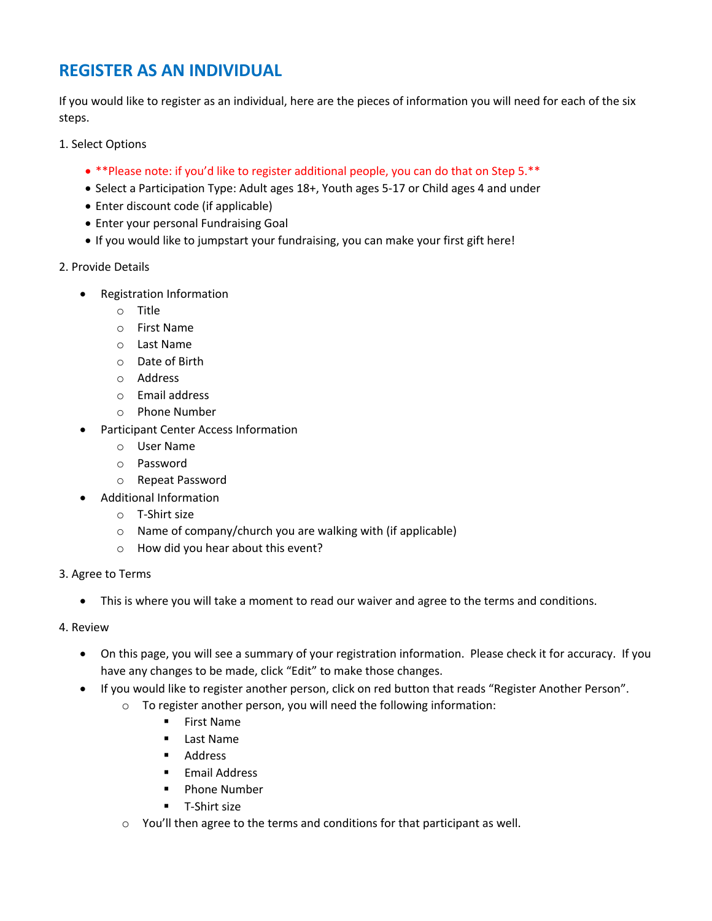## <span id="page-5-0"></span>**REGISTER AS AN INDIVIDUAL**

If you would like to register as an individual, here are the pieces of information you will need for each of the six steps.

1. Select Options

- \*\* Please note: if you'd like to register additional people, you can do that on Step 5.\*\*
- Select a Participation Type: Adult ages 18+, Youth ages 5-17 or Child ages 4 and under
- Enter discount code (if applicable)
- Enter your personal Fundraising Goal
- If you would like to jumpstart your fundraising, you can make your first gift here!

### 2. Provide Details

- Registration Information
	- o Title
	- o First Name
	- o Last Name
	- o Date of Birth
	- o Address
	- o Email address
	- o Phone Number
- Participant Center Access Information
	- o User Name
	- o Password
	- o Repeat Password
- Additional Information
	- o T-Shirt size
	- o Name of company/church you are walking with (if applicable)
	- o How did you hear about this event?

### 3. Agree to Terms

- This is where you will take a moment to read our waiver and agree to the terms and conditions.
- 4. Review
	- On this page, you will see a summary of your registration information. Please check it for accuracy. If you have any changes to be made, click "Edit" to make those changes.
	- If you would like to register another person, click on red button that reads "Register Another Person".
		- o To register another person, you will need the following information:
			- § First Name
			- Last Name
			- Address
			- Email Address
			- Phone Number
			- T-Shirt size
		- o You'll then agree to the terms and conditions for that participant as well.